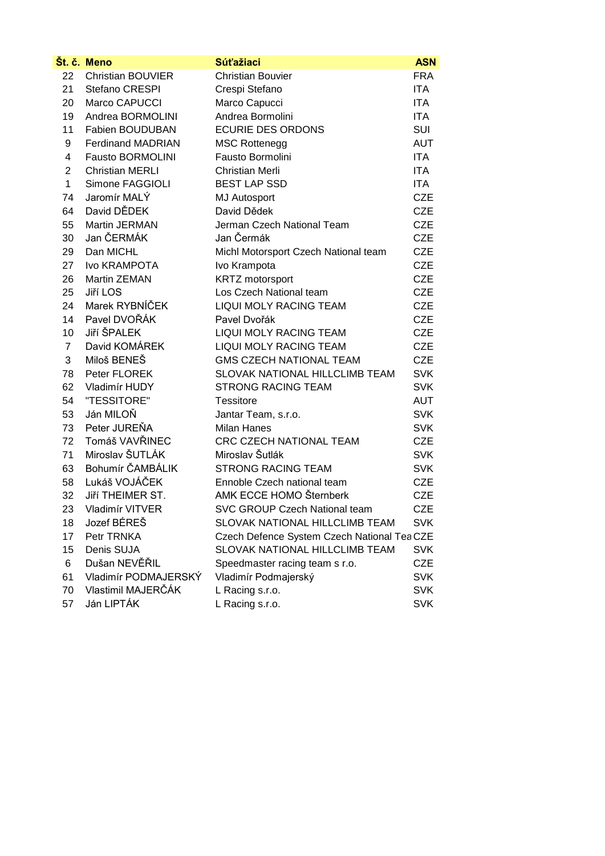|                | Št. č. Meno              | <b>Súťažiaci</b>                            | <b>ASN</b> |
|----------------|--------------------------|---------------------------------------------|------------|
| 22             | <b>Christian BOUVIER</b> | <b>Christian Bouvier</b>                    | <b>FRA</b> |
| 21             | Stefano CRESPI           | Crespi Stefano                              | <b>ITA</b> |
| 20             | Marco CAPUCCI            | Marco Capucci                               | <b>ITA</b> |
| 19             | Andrea BORMOLINI         | Andrea Bormolini                            | <b>ITA</b> |
| 11             | Fabien BOUDUBAN          | <b>ECURIE DES ORDONS</b>                    | SUI        |
| 9              | <b>Ferdinand MADRIAN</b> | <b>MSC Rottenegg</b>                        | <b>AUT</b> |
| 4              | <b>Fausto BORMOLINI</b>  | Fausto Bormolini                            | <b>ITA</b> |
| $\overline{2}$ | <b>Christian MERLI</b>   | <b>Christian Merli</b>                      | <b>ITA</b> |
| 1              | Simone FAGGIOLI          | <b>BEST LAP SSD</b>                         | ITA.       |
| 74             | Jaromír MALÝ             | <b>MJ Autosport</b>                         | <b>CZE</b> |
| 64             | David DĚDEK              | David Dědek                                 | <b>CZE</b> |
| 55             | Martin JERMAN            | Jerman Czech National Team                  | <b>CZE</b> |
| 30             | Jan ČERMÁK               | Jan Čermák                                  | <b>CZE</b> |
| 29             | Dan MICHL                | Michl Motorsport Czech National team        | <b>CZE</b> |
| 27             | Ivo KRAMPOTA             | Ivo Krampota                                | <b>CZE</b> |
| 26             | Martin ZEMAN             | <b>KRTZ</b> motorsport                      | <b>CZE</b> |
| 25             | Jiří LOS                 | Los Czech National team                     | <b>CZE</b> |
| 24             | Marek RYBNÍČEK           | LIQUI MOLY RACING TEAM                      | <b>CZE</b> |
| 14             | Pavel DVOŘÁK             | Pavel Dvořák                                | <b>CZE</b> |
| 10             | <b>Jiří ŠPALEK</b>       | LIQUI MOLY RACING TEAM                      | <b>CZE</b> |
| $\overline{7}$ | David KOMÁREK            | LIQUI MOLY RACING TEAM                      | <b>CZE</b> |
| 3              | Miloš BENEŠ              | <b>GMS CZECH NATIONAL TEAM</b>              | <b>CZE</b> |
| 78             | Peter FLOREK             | SLOVAK NATIONAL HILLCLIMB TEAM              | <b>SVK</b> |
| 62             | Vladimír HUDY            | <b>STRONG RACING TEAM</b>                   | <b>SVK</b> |
| 54             | "TESSITORE"              | Tessitore                                   | <b>AUT</b> |
| 53             | Ján MILOŇ                | Jantar Team, s.r.o.                         | <b>SVK</b> |
| 73             | Peter JUREŇA             | <b>Milan Hanes</b>                          | <b>SVK</b> |
| 72             | Tomáš VAVŘINEC           | CRC CZECH NATIONAL TEAM                     | <b>CZE</b> |
| 71             | Miroslav ŠUTLÁK          | Miroslav Šutlák                             | <b>SVK</b> |
| 63             | Bohumír ČAMBÁLIK         | <b>STRONG RACING TEAM</b>                   | <b>SVK</b> |
| 58             | Lukáš VOJÁČEK            | Ennoble Czech national team                 | <b>CZE</b> |
| 32             | Jiří THEIMER ST.         | AMK ECCE HOMO Šternberk                     | <b>CZE</b> |
| 23             | Vladimír VITVER          | SVC GROUP Czech National team               | <b>CZE</b> |
| 18             | Jozef BÉREŠ              | SLOVAK NATIONAL HILLCLIMB TEAM              | <b>SVK</b> |
| 17             | Petr TRNKA               | Czech Defence System Czech National Tea CZE |            |
| 15             | Denis SUJA               | SLOVAK NATIONAL HILLCLIMB TEAM              | <b>SVK</b> |
| 6              | Dušan NEVĚŘIL            | Speedmaster racing team s r.o.              | <b>CZE</b> |
| 61             | Vladimír PODMAJERSKÝ     | Vladimír Podmajerský                        | <b>SVK</b> |
| 70             | Vlastimil MAJERČÁK       | L Racing s.r.o.                             | <b>SVK</b> |
| 57             | Ján LIPTÁK               | L Racing s.r.o.                             | <b>SVK</b> |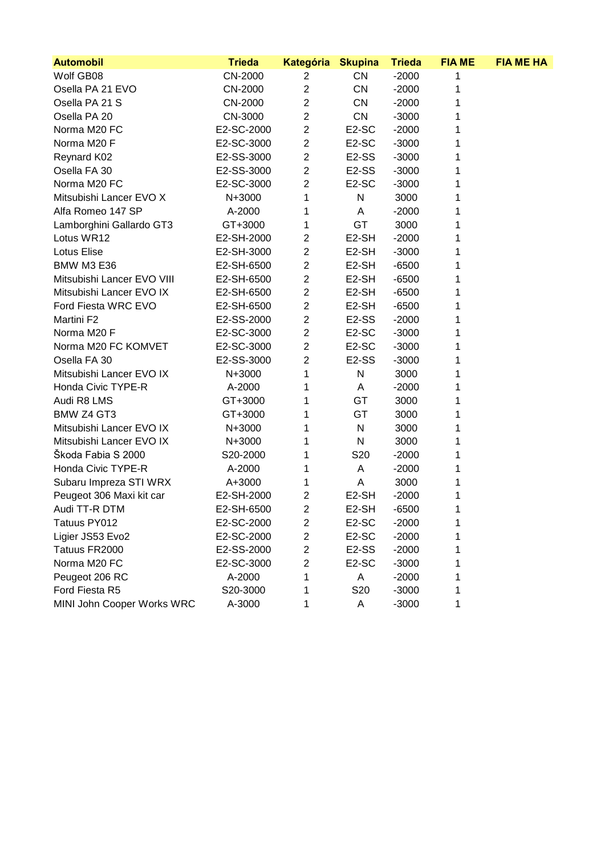| <b>Automobil</b>           | <b>Trieda</b> | <b>Kategória</b> | <b>Skupina</b>     | <b>Trieda</b> | <b>FIA ME</b> | <b>FIA ME HA</b> |
|----------------------------|---------------|------------------|--------------------|---------------|---------------|------------------|
| Wolf GB08                  | CN-2000       | $\overline{2}$   | <b>CN</b>          | $-2000$       | 1             |                  |
| Osella PA 21 EVO           | CN-2000       | $\mathbf 2$      | CN                 | $-2000$       | 1             |                  |
| Osella PA 21 S             | CN-2000       | $\overline{2}$   | <b>CN</b>          | $-2000$       | 1             |                  |
| Osella PA 20               | CN-3000       | $\overline{2}$   | CN                 | $-3000$       | 1             |                  |
| Norma M20 FC               | E2-SC-2000    | $\overline{c}$   | E <sub>2</sub> -SC | $-2000$       | 1             |                  |
| Norma M20 F                | E2-SC-3000    | $\mathbf 2$      | E2-SC              | $-3000$       | 1             |                  |
| <b>Reynard K02</b>         | E2-SS-3000    | $\overline{2}$   | E <sub>2</sub> -SS | $-3000$       | 1             |                  |
| Osella FA 30               | E2-SS-3000    | $\mathbf 2$      | E <sub>2</sub> -SS | $-3000$       |               |                  |
| Norma M20 FC               | E2-SC-3000    | $\overline{2}$   | E2-SC              | $-3000$       | 1             |                  |
| Mitsubishi Lancer EVO X    | N+3000        | 1                | $\mathsf{N}$       | 3000          | 1             |                  |
| Alfa Romeo 147 SP          | A-2000        | 1                | Α                  | $-2000$       | 1             |                  |
| Lamborghini Gallardo GT3   | GT+3000       | 1                | GT                 | 3000          |               |                  |
| Lotus WR12                 | E2-SH-2000    | $\overline{2}$   | E <sub>2</sub> -SH | $-2000$       | 1             |                  |
| Lotus Elise                | E2-SH-3000    | $\overline{c}$   | E <sub>2</sub> -SH | $-3000$       |               |                  |
| <b>BMW M3 E36</b>          | E2-SH-6500    | $\overline{c}$   | E <sub>2</sub> -SH | $-6500$       | 1             |                  |
| Mitsubishi Lancer EVO VIII | E2-SH-6500    | $\overline{2}$   | E <sub>2</sub> -SH | $-6500$       | 1             |                  |
| Mitsubishi Lancer EVO IX   | E2-SH-6500    | $\mathbf 2$      | E <sub>2</sub> -SH | $-6500$       |               |                  |
| Ford Fiesta WRC EVO        | E2-SH-6500    | $\overline{c}$   | E2-SH              | $-6500$       | 1             |                  |
| Martini F2                 | E2-SS-2000    | $\overline{2}$   | E <sub>2</sub> -SS | $-2000$       | 1             |                  |
| Norma M20 F                | E2-SC-3000    | $\overline{2}$   | E <sub>2</sub> -SC | $-3000$       | 1             |                  |
| Norma M20 FC KOMVET        | E2-SC-3000    | $\overline{c}$   | E <sub>2</sub> -SC | $-3000$       |               |                  |
| Osella FA 30               | E2-SS-3000    | $\overline{2}$   | E <sub>2</sub> -SS | $-3000$       | 1             |                  |
| Mitsubishi Lancer EVO IX   | N+3000        | 1                | N                  | 3000          | 1             |                  |
| Honda Civic TYPE-R         | A-2000        | 1                | Α                  | $-2000$       | 1             |                  |
| Audi R8 LMS                | GT+3000       | 1                | GT                 | 3000          | 1             |                  |
| BMW Z4 GT3                 | GT+3000       | 1                | GT                 | 3000          |               |                  |
| Mitsubishi Lancer EVO IX   | N+3000        | 1                | $\mathsf{N}$       | 3000          | 1             |                  |
| Mitsubishi Lancer EVO IX   | N+3000        | 1                | $\mathsf{N}$       | 3000          | 1             |                  |
| Škoda Fabia S 2000         | S20-2000      | 1                | S20                | $-2000$       | 1             |                  |
| Honda Civic TYPE-R         | A-2000        | 1                | Α                  | $-2000$       |               |                  |
| Subaru Impreza STI WRX     | A+3000        | 1                | А                  | 3000          |               |                  |
| Peugeot 306 Maxi kit car   | E2-SH-2000    | $\overline{2}$   | E2-SH              | $-2000$       | 1             |                  |
| Audi TT-R DTM              | E2-SH-6500    | $\overline{2}$   | E <sub>2</sub> -SH | $-6500$       | 1             |                  |
| Tatuus PY012               | E2-SC-2000    | 2                | E <sub>2</sub> -SC | $-2000$       | 1             |                  |
| Ligier JS53 Evo2           | E2-SC-2000    | 2                | E <sub>2</sub> -SC | $-2000$       |               |                  |
| Tatuus FR2000              | E2-SS-2000    | 2                | E <sub>2</sub> -SS | $-2000$       |               |                  |
| Norma M20 FC               | E2-SC-3000    | 2                | E <sub>2</sub> -SC | $-3000$       |               |                  |
| Peugeot 206 RC             | A-2000        |                  | A                  | $-2000$       |               |                  |
| Ford Fiesta R5             | S20-3000      |                  | S <sub>20</sub>    | $-3000$       |               |                  |
| MINI John Cooper Works WRC | A-3000        |                  | Α                  | $-3000$       |               |                  |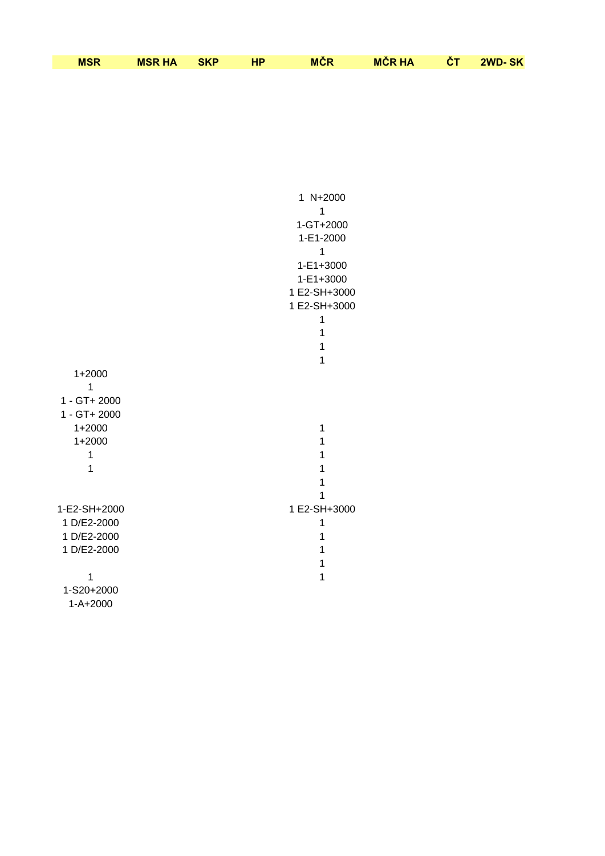| <b>MSR</b> | <b>MSR HA</b> | <b>SKP</b> | <b>MĈR</b> | <b>MCR HA</b> | rт | 2WD-SK |
|------------|---------------|------------|------------|---------------|----|--------|

|                              | 1 N+2000<br>1<br>1-GT+2000<br>1-E1-2000<br>1<br>1-E1+3000<br>1-E1+3000<br>1 E2-SH+3000 |
|------------------------------|----------------------------------------------------------------------------------------|
|                              | 1 E2-SH+3000                                                                           |
|                              | 1                                                                                      |
|                              | 1                                                                                      |
|                              | 1<br>$\mathbf{1}$                                                                      |
| $1+2000$                     |                                                                                        |
| 1                            |                                                                                        |
| 1 - GT+ 2000                 |                                                                                        |
| 1 - GT+ 2000                 |                                                                                        |
| $1+2000$                     | 1                                                                                      |
| $1+2000$                     | 1                                                                                      |
| 1                            | 1                                                                                      |
| 1                            | 1                                                                                      |
|                              | $\mathbf{1}$                                                                           |
| 1-E2-SH+2000                 | 1<br>1 E2-SH+3000                                                                      |
| 1 D/E2-2000                  | 1                                                                                      |
| 1 D/E2-2000                  | 1                                                                                      |
| 1 D/E2-2000                  | 1                                                                                      |
|                              | 1                                                                                      |
| 1                            | 1                                                                                      |
| 1-S20+2000<br>$1 - A + 2000$ |                                                                                        |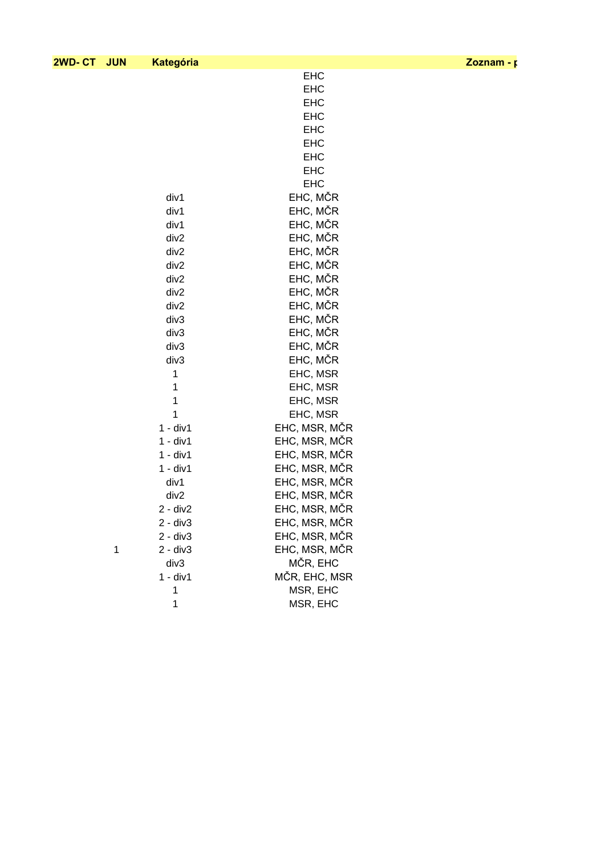## **2WD- CT JUN Kategória Zoznam - posielanie SMS**

|  |  | Zoznam - p |  |  |  |
|--|--|------------|--|--|--|
|--|--|------------|--|--|--|

|   |            | <b>EHC</b>    |
|---|------------|---------------|
|   |            | <b>EHC</b>    |
|   |            | <b>EHC</b>    |
|   |            | <b>EHC</b>    |
|   |            | <b>EHC</b>    |
|   |            |               |
|   |            | <b>EHC</b>    |
|   |            | <b>EHC</b>    |
|   |            | <b>EHC</b>    |
|   |            | <b>EHC</b>    |
|   | div1       | EHC, MČR      |
|   | div1       | EHC, MČR      |
|   | div1       | EHC, MČR      |
|   | div2       | EHC, MČR      |
|   | div2       | EHC, MČR      |
|   | div2       | EHC, MČR      |
|   | div2       | EHC, MČR      |
|   | div2       | EHC, MČR      |
|   | div2       | EHC, MČR      |
|   | div3       | EHC, MČR      |
|   | div3       | EHC, MČR      |
|   | div3       | EHC, MČR      |
|   | div3       | EHC, MČR      |
|   |            |               |
|   | 1          | EHC, MSR      |
|   | 1          | EHC, MSR      |
|   | 1          | EHC, MSR      |
|   | 1          | EHC, MSR      |
|   | $1 - div1$ | EHC, MSR, MČR |
|   | $1 - div1$ | EHC, MSR, MČR |
|   | $1 - div1$ | EHC, MSR, MČR |
|   | $1 - div1$ | EHC, MSR, MČR |
|   | div1       | EHC, MSR, MČR |
|   | div2       | EHC, MSR, MČR |
|   | $2 - div2$ | EHC, MSR, MČR |
|   | 2 - div3   | EHC, MSR, MČR |
|   | $2 - div3$ | EHC, MSR, MČR |
| 1 | $2 - div3$ | EHC, MSR, MČR |
|   | div3       | MČR, EHC      |
|   | $1 - div1$ | MČR, EHC, MSR |
|   | 1          | MSR, EHC      |
|   | 1          | MSR, EHC      |
|   |            |               |